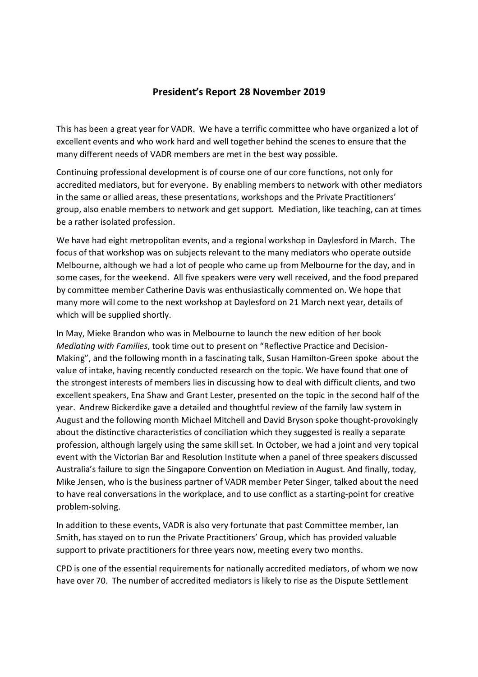## **President's Report 28 November 2019**

This has been a great year for VADR. We have a terrific committee who have organized a lot of excellent events and who work hard and well together behind the scenes to ensure that the many different needs of VADR members are met in the best way possible.

Continuing professional development is of course one of our core functions, not only for accredited mediators, but for everyone. By enabling members to network with other mediators in the same or allied areas, these presentations, workshops and the Private Practitioners' group, also enable members to network and get support. Mediation, like teaching, can at times be a rather isolated profession.

We have had eight metropolitan events, and a regional workshop in Daylesford in March. The focus of that workshop was on subjects relevant to the many mediators who operate outside Melbourne, although we had a lot of people who came up from Melbourne for the day, and in some cases, for the weekend. All five speakers were very well received, and the food prepared by committee member Catherine Davis was enthusiastically commented on. We hope that many more will come to the next workshop at Daylesford on 21 March next year, details of which will be supplied shortly.

In May, Mieke Brandon who was in Melbourne to launch the new edition of her book *Mediating with Families*, took time out to present on "Reflective Practice and Decision-Making", and the following month in a fascinating talk, Susan Hamilton-Green spoke about the value of intake, having recently conducted research on the topic. We have found that one of the strongest interests of members lies in discussing how to deal with difficult clients, and two excellent speakers, Ena Shaw and Grant Lester, presented on the topic in the second half of the year. Andrew Bickerdike gave a detailed and thoughtful review of the family law system in August and the following month Michael Mitchell and David Bryson spoke thought-provokingly about the distinctive characteristics of conciliation which they suggested is really a separate profession, although largely using the same skill set. In October, we had a joint and very topical event with the Victorian Bar and Resolution Institute when a panel of three speakers discussed Australia's failure to sign the Singapore Convention on Mediation in August. And finally, today, Mike Jensen, who is the business partner of VADR member Peter Singer, talked about the need to have real conversations in the workplace, and to use conflict as a starting-point for creative problem-solving.

In addition to these events, VADR is also very fortunate that past Committee member, Ian Smith, has stayed on to run the Private Practitioners' Group, which has provided valuable support to private practitioners for three years now, meeting every two months.

CPD is one of the essential requirements for nationally accredited mediators, of whom we now have over 70. The number of accredited mediators is likely to rise as the Dispute Settlement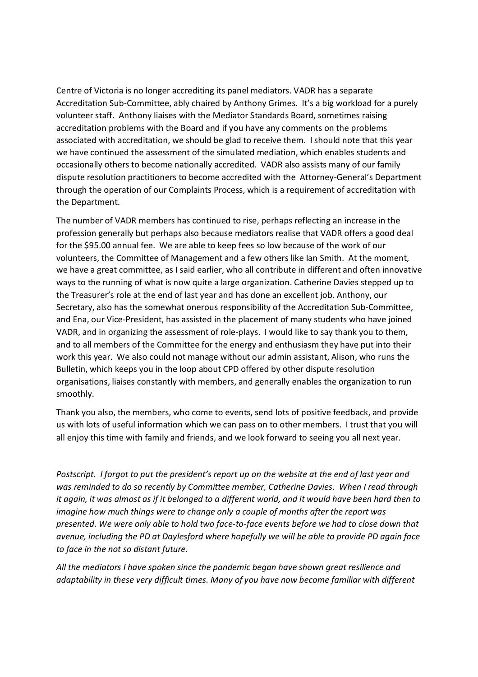Centre of Victoria is no longer accrediting its panel mediators. VADR has a separate Accreditation Sub-Committee, ably chaired by Anthony Grimes. It's a big workload for a purely volunteer staff. Anthony liaises with the Mediator Standards Board, sometimes raising accreditation problems with the Board and if you have any comments on the problems associated with accreditation, we should be glad to receive them. I should note that this year we have continued the assessment of the simulated mediation, which enables students and occasionally others to become nationally accredited. VADR also assists many of our family dispute resolution practitioners to become accredited with the Attorney-General's Department through the operation of our Complaints Process, which is a requirement of accreditation with the Department.

The number of VADR members has continued to rise, perhaps reflecting an increase in the profession generally but perhaps also because mediators realise that VADR offers a good deal for the \$95.00 annual fee. We are able to keep fees so low because of the work of our volunteers, the Committee of Management and a few others like Ian Smith. At the moment, we have a great committee, as I said earlier, who all contribute in different and often innovative ways to the running of what is now quite a large organization. Catherine Davies stepped up to the Treasurer's role at the end of last year and has done an excellent job. Anthony, our Secretary, also has the somewhat onerous responsibility of the Accreditation Sub-Committee, and Ena, our Vice-President, has assisted in the placement of many students who have joined VADR, and in organizing the assessment of role-plays. I would like to say thank you to them, and to all members of the Committee for the energy and enthusiasm they have put into their work this year. We also could not manage without our admin assistant, Alison, who runs the Bulletin, which keeps you in the loop about CPD offered by other dispute resolution organisations, liaises constantly with members, and generally enables the organization to run smoothly.

Thank you also, the members, who come to events, send lots of positive feedback, and provide us with lots of useful information which we can pass on to other members. I trust that you will all enjoy this time with family and friends, and we look forward to seeing you all next year.

*Postscript. I forgot to put the president's report up on the website at the end of last year and was reminded to do so recently by Committee member, Catherine Davies. When I read through it again, it was almost as if it belonged to a different world, and it would have been hard then to imagine how much things were to change only a couple of months after the report was presented. We were only able to hold two face-to-face events before we had to close down that avenue, including the PD at Daylesford where hopefully we will be able to provide PD again face to face in the not so distant future.* 

*All the mediators I have spoken since the pandemic began have shown great resilience and adaptability in these very difficult times. Many of you have now become familiar with different*